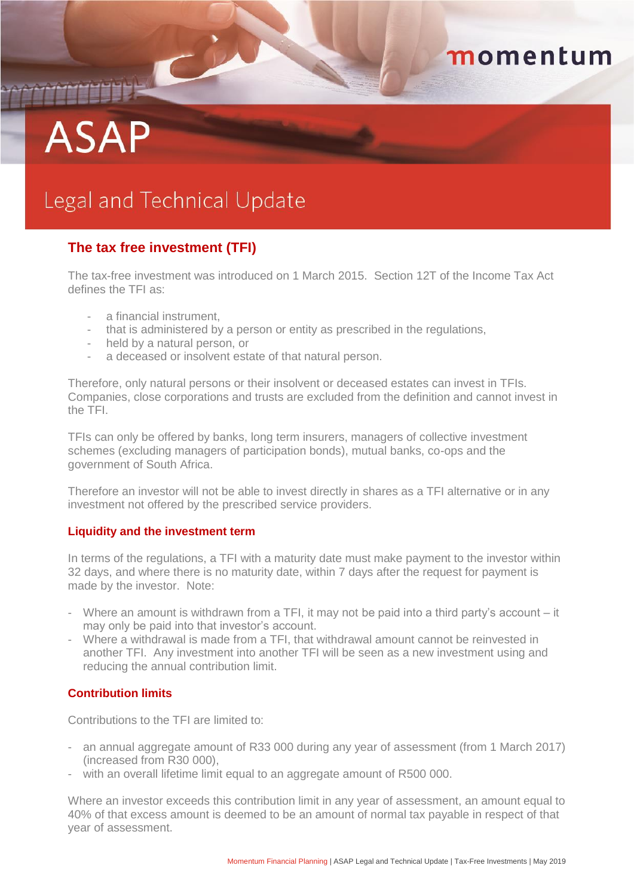# THEFT **ASAP**

# momentum

# Legal and Technical Update

## **The tax free investment (TFI)**

The tax-free investment was introduced on 1 March 2015. Section 12T of the Income Tax Act defines the TFI as:

- a financial instrument,
- that is administered by a person or entity as prescribed in the regulations,
- held by a natural person, or
- a deceased or insolvent estate of that natural person.

Therefore, only natural persons or their insolvent or deceased estates can invest in TFIs. Companies, close corporations and trusts are excluded from the definition and cannot invest in the TFI.

TFIs can only be offered by banks, long term insurers, managers of collective investment schemes (excluding managers of participation bonds), mutual banks, co-ops and the government of South Africa.

Therefore an investor will not be able to invest directly in shares as a TFI alternative or in any investment not offered by the prescribed service providers.

#### **Liquidity and the investment term**

In terms of the regulations, a TFI with a maturity date must make payment to the investor within 32 days, and where there is no maturity date, within 7 days after the request for payment is made by the investor. Note:

- Where an amount is withdrawn from a TFI, it may not be paid into a third party's account it may only be paid into that investor's account.
- Where a withdrawal is made from a TFI, that withdrawal amount cannot be reinvested in another TFI. Any investment into another TFI will be seen as a new investment using and reducing the annual contribution limit.

#### **Contribution limits**

Contributions to the TFI are limited to:

- an annual aggregate amount of R33 000 during any year of assessment (from 1 March 2017) (increased from R30 000),
- with an overall lifetime limit equal to an aggregate amount of R500 000.

Where an investor exceeds this contribution limit in any year of assessment, an amount equal to 40% of that excess amount is deemed to be an amount of normal tax payable in respect of that year of assessment.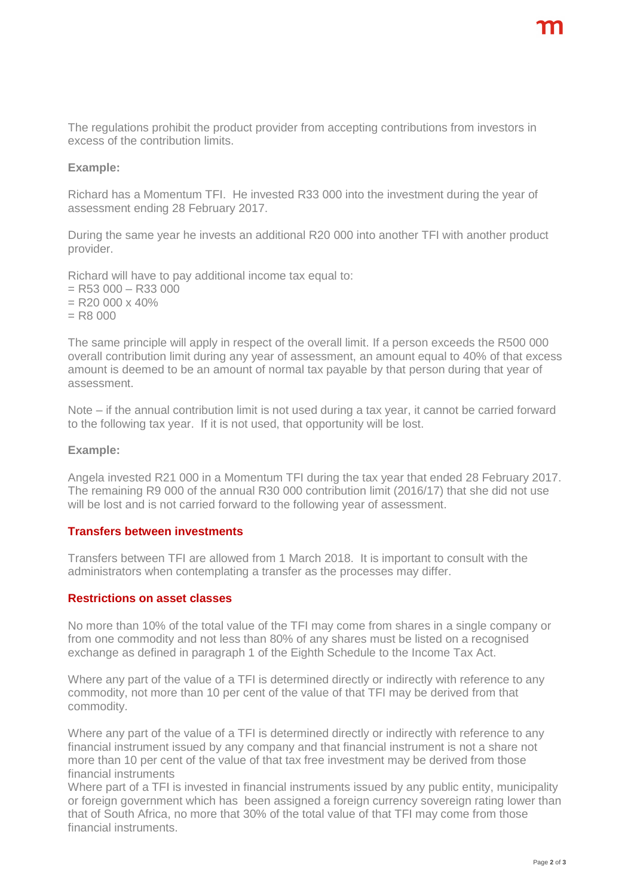The regulations prohibit the product provider from accepting contributions from investors in excess of the contribution limits.

#### **Example:**

Richard has a Momentum TFI. He invested R33 000 into the investment during the year of assessment ending 28 February 2017.

During the same year he invests an additional R20 000 into another TFI with another product provider.

Richard will have to pay additional income tax equal to:

- $=$  R53 000 R33 000
- $=$  R<sub>20</sub> 000 x 40%
- $=$  R8 000

The same principle will apply in respect of the overall limit. If a person exceeds the R500 000 overall contribution limit during any year of assessment, an amount equal to 40% of that excess amount is deemed to be an amount of normal tax payable by that person during that year of assessment.

Note – if the annual contribution limit is not used during a tax year, it cannot be carried forward to the following tax year. If it is not used, that opportunity will be lost.

#### **Example:**

Angela invested R21 000 in a Momentum TFI during the tax year that ended 28 February 2017. The remaining R9 000 of the annual R30 000 contribution limit (2016/17) that she did not use will be lost and is not carried forward to the following year of assessment.

#### **Transfers between investments**

Transfers between TFI are allowed from 1 March 2018. It is important to consult with the administrators when contemplating a transfer as the processes may differ.

#### **Restrictions on asset classes**

No more than 10% of the total value of the TFI may come from shares in a single company or from one commodity and not less than 80% of any shares must be listed on a recognised exchange as defined in paragraph 1 of the Eighth Schedule to the Income Tax Act.

Where any part of the value of a TFI is determined directly or indirectly with reference to any commodity, not more than 10 per cent of the value of that TFI may be derived from that commodity.

Where any part of the value of a TFI is determined directly or indirectly with reference to any financial instrument issued by any company and that financial instrument is not a share not more than 10 per cent of the value of that tax free investment may be derived from those financial instruments

Where part of a TFI is invested in financial instruments issued by any public entity, municipality or foreign government which has been assigned a foreign currency sovereign rating lower than that of South Africa, no more that 30% of the total value of that TFI may come from those financial instruments.